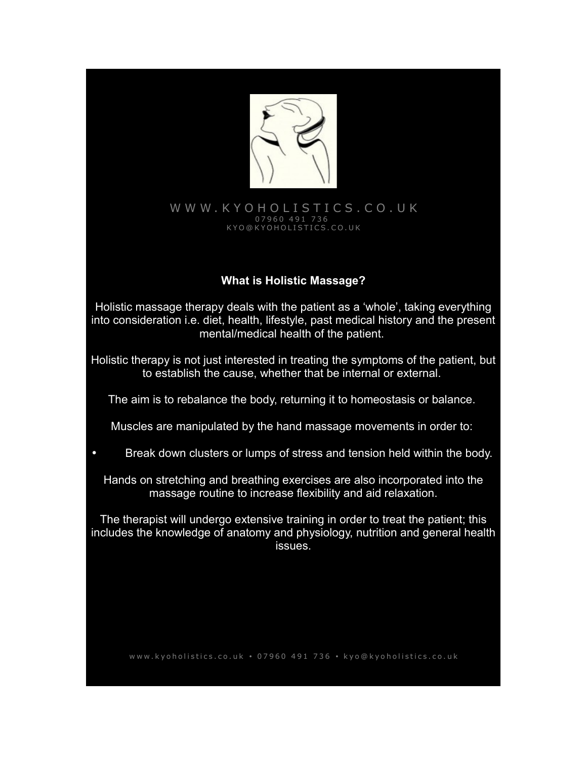

### [W W W . K Y O H O L I S T I C S . C O . U K](http://www.Kyoholistics.co.uk/) 0 7 9 6 0 4 9 1 7 3 6 K Y O @ K Y O H O L I S T I C S . C O . U K

# **What is Holistic Massage?**

Holistic massage therapy deals with the patient as a 'whole', taking everything into consideration i.e. diet, health, lifestyle, past medical history and the present mental/medical health of the patient.

Holistic therapy is not just interested in treating the symptoms of the patient, but to establish the cause, whether that be internal or external.

The aim is to rebalance the body, returning it to homeostasis or balance.

Muscles are manipulated by the hand massage movements in order to:

• Break down clusters or lumps of stress and tension held within the body.

Hands on stretching and breathing exercises are also incorporated into the massage routine to increase flexibility and aid relaxation.

The therapist will undergo extensive training in order to treat the patient; this includes the knowledge of anatomy and physiology, nutrition and general health issues.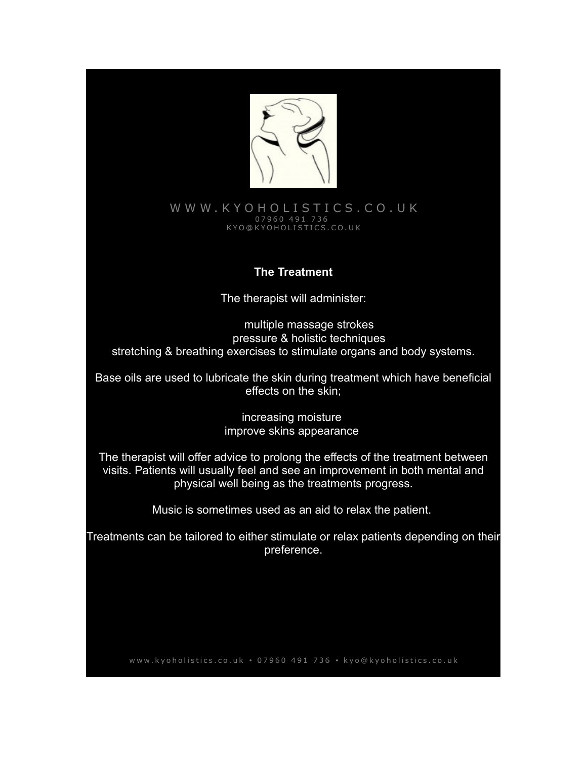

### WWW.KYOHOLISTICS.CO.UK 0 7 9 6 0 4 9 1 7 3 6 K Y O @ K Y O H O L I S T I C S . C O . U K

### **The Treatment**

The therapist will administer:

multiple massage strokes pressure & holistic techniques stretching & breathing exercises to stimulate organs and body systems.

Base oils are used to lubricate the skin during treatment which have beneficial effects on the skin;

> increasing moisture improve skins appearance

The therapist will offer advice to prolong the effects of the treatment between visits. Patients will usually feel and see an improvement in both mental and physical well being as the treatments progress.

Music is sometimes used as an aid to relax the patient.

Treatments can be tailored to either stimulate or relax patients depending on their preference.